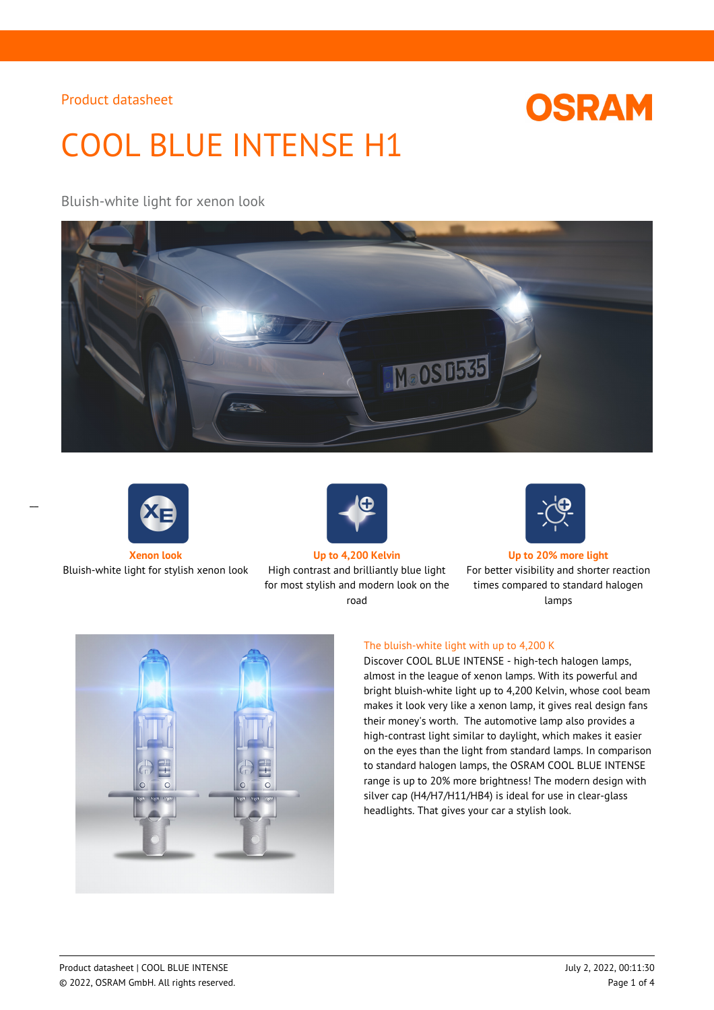# **OSRAM**

# COOL BLUE INTENSE H1

## Bluish-white light for xenon look





 $\overline{a}$ 

Bluish-white light for stylish xenon look High contrast and brilliantly blue light



for most stylish and modern look on the road



**Xenon look Up to 4,200 Kelvin Up to 20% more light**

For better visibility and shorter reaction times compared to standard halogen lamps



#### The bluish-white light with up to 4,200 K

Discover COOL BLUE INTENSE - high-tech halogen lamps, almost in the league of xenon lamps. With its powerful and bright bluish-white light up to 4,200 Kelvin, whose cool beam makes it look very like a xenon lamp, it gives real design fans their money's worth. The automotive lamp also provides a high-contrast light similar to daylight, which makes it easier on the eyes than the light from standard lamps. In comparison to standard halogen lamps, the OSRAM COOL BLUE INTENSE range is up to 20% more brightness! The modern design with silver cap (H4/H7/H11/HB4) is ideal for use in clear-glass headlights. That gives your car a stylish look.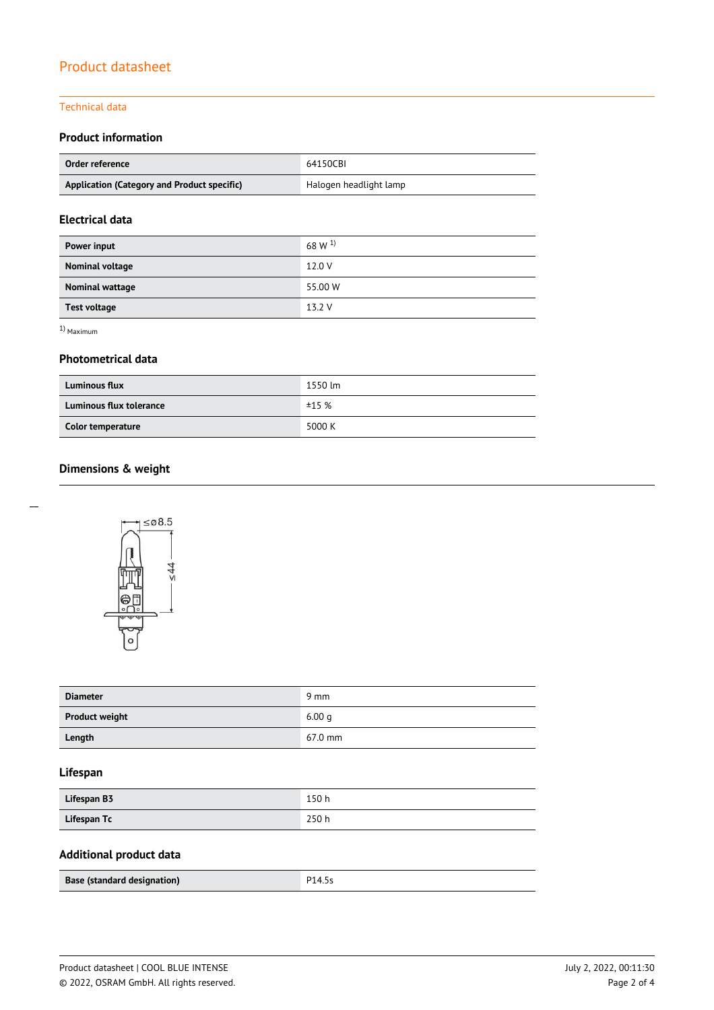#### Technical data

## **Product information**

| Order reference                             | 64150CBI               |  |
|---------------------------------------------|------------------------|--|
| Application (Category and Product specific) | Halogen headlight lamp |  |

## **Electrical data**

| Power input         | 68 W $^{1)}$ |
|---------------------|--------------|
| Nominal voltage     | 12.0 V       |
| Nominal wattage     | 55.00 W      |
| <b>Test voltage</b> | 13.2 V       |

1) Maximum

#### **Photometrical data**

| <b>Luminous flux</b>           | 1550 lm |  |  |
|--------------------------------|---------|--|--|
| <b>Luminous flux tolerance</b> | ±15%    |  |  |
| Color temperature              | 5000 K  |  |  |

## **Dimensions & weight**



| <b>Diameter</b>       | $9 \text{ mm}$    |
|-----------------------|-------------------|
| <b>Product weight</b> | 6.00q             |
| Length                | $67.0 \text{ mm}$ |

## **Lifespan**

| Lifespan B3 | 150 h |
|-------------|-------|
| Lifespan Tc | 250h  |

## **Additional product data**

| Base (standard designation) | P14.5s |
|-----------------------------|--------|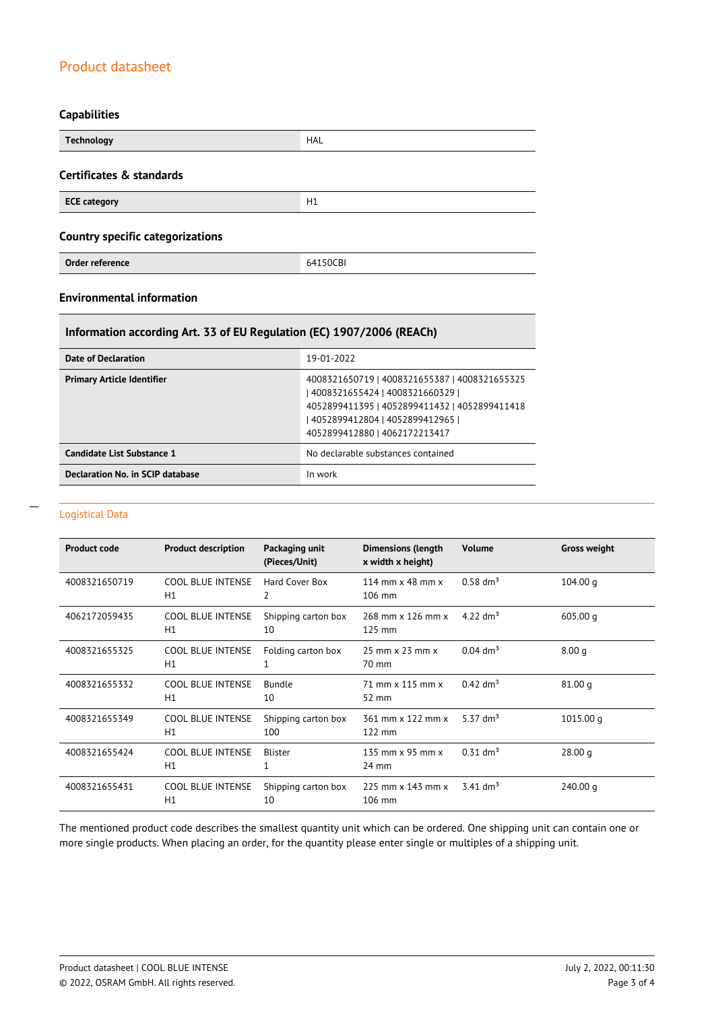## **Capabilities**

| <b>Technology</b>                       | <b>HAL</b> |  |
|-----------------------------------------|------------|--|
| Certificates & standards                |            |  |
| <b>ECE category</b>                     | H1         |  |
| <b>Country specific categorizations</b> |            |  |
| Order reference                         | 64150CBI   |  |

## **Environmental information**

## **Information according Art. 33 of EU Regulation (EC) 1907/2006 (REACh)**

| Date of Declaration               | 19-01-2022                                                                                                                                                                                            |
|-----------------------------------|-------------------------------------------------------------------------------------------------------------------------------------------------------------------------------------------------------|
| <b>Primary Article Identifier</b> | 4008321650719   4008321655387   4008321655325<br>4008321655424   4008321660329  <br>4052899411395   4052899411432   4052899411418<br>4052899412804   4052899412965  <br>4052899412880   4062172213417 |
| Candidate List Substance 1        | No declarable substances contained                                                                                                                                                                    |
| Declaration No. in SCIP database  | In work                                                                                                                                                                                               |

#### Logistical Data

 $\overline{a}$ 

| <b>Product code</b> | <b>Product description</b>     | Packaging unit<br>(Pieces/Unit) | <b>Dimensions (length</b><br>x width x height)    | <b>Volume</b>          | <b>Gross weight</b> |
|---------------------|--------------------------------|---------------------------------|---------------------------------------------------|------------------------|---------------------|
| 4008321650719       | <b>COOL BLUE INTENSE</b><br>H1 | Hard Cover Box<br>2             | 114 mm $\times$ 48 mm $\times$<br>106 mm          | $0.58 \text{ dm}^3$    | 104.00 <sub>q</sub> |
| 4062172059435       | <b>COOL BLUE INTENSE</b><br>H1 | Shipping carton box<br>10       | 268 mm x 126 mm x<br>125 mm                       | 4.22 $\rm{dm^{3}}$     | 605.00q             |
| 4008321655325       | <b>COOL BLUE INTENSE</b><br>H1 | Folding carton box              | $25$ mm $\times$ $23$ mm $\times$<br>70 mm        | $0.04$ dm <sup>3</sup> | 8.00 <sub>q</sub>   |
| 4008321655332       | <b>COOL BLUE INTENSE</b><br>H1 | Bundle<br>10                    | 71 mm x 115 mm x<br>52 mm                         | $0.42$ dm <sup>3</sup> | 81.00q              |
| 4008321655349       | <b>COOL BLUE INTENSE</b><br>H1 | Shipping carton box<br>100      | 361 mm x 122 mm x<br>122 mm                       | 5.37 $dm^3$            | 1015.00 g           |
| 4008321655424       | <b>COOL BLUE INTENSE</b><br>H1 | Blister                         | 135 mm $\times$ 95 mm $\times$<br>$24 \text{ mm}$ | $0.31$ dm <sup>3</sup> | 28.00 g             |
| 4008321655431       | <b>COOL BLUE INTENSE</b><br>H1 | Shipping carton box<br>10       | 225 mm x 143 mm x<br>106 mm                       | $3.41$ dm <sup>3</sup> | 240.00q             |

The mentioned product code describes the smallest quantity unit which can be ordered. One shipping unit can contain one or more single products. When placing an order, for the quantity please enter single or multiples of a shipping unit.